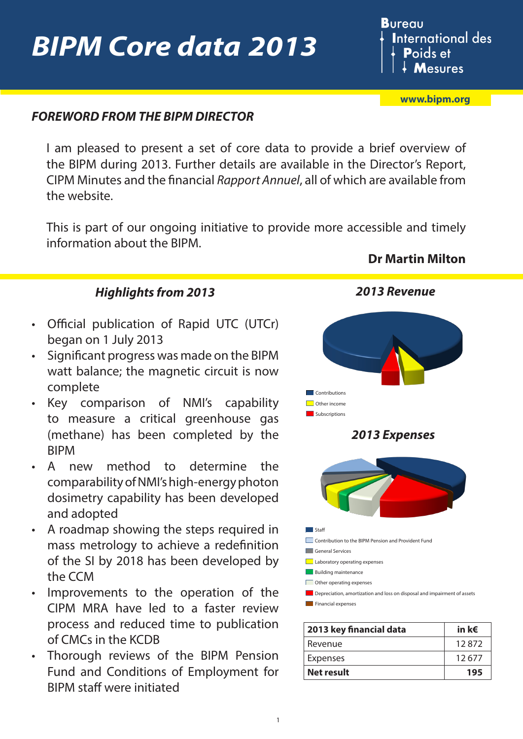# *BIPM Core data 2013*

### **Bureau International des P**oids et **Mesures**

**[www.bipm.org](http://www.bipm.org/en/home/)**

### *FOREWORD FROM THE BIPM DIRECTOR*

I am pleased to present a set of core data to provide a brief overview of the BIPM during 2013. Further details are available in the Director's Report, CIPM Minutes and the financial *Rapport Annuel*, all of which are available from the website.

This is part of our ongoing initiative to provide more accessible and timely information about the BIPM.

#### *Highlights from 2013*

- Official publication of Rapid UTC (UTCr) began on 1 July 2013
- Significant progress was made on the BIPM watt balance; the magnetic circuit is now complete
- Key comparison of NMI's capability to measure a critical greenhouse gas (methane) has been completed by the BIPM
- A new method to determine the comparability of NMI's high-energy photon dosimetry capability has been developed and adopted
- A roadmap showing the steps required in mass metrology to achieve a redefinition of the SI by 2018 has been developed by the CCM
- Improvements to the operation of the CIPM MRA have led to a faster review process and reduced time to publication of CMCs in the KCDB
- Thorough reviews of the BIPM Pension Fund and Conditions of Employment for BIPM staff were initiated



| 2013 key financial data | in k $\epsilon$ |
|-------------------------|-----------------|
| Revenue                 | 12872           |
| <b>Expenses</b>         | 12677           |
| <b>Net result</b>       | 195             |

**Dr Martin Milton**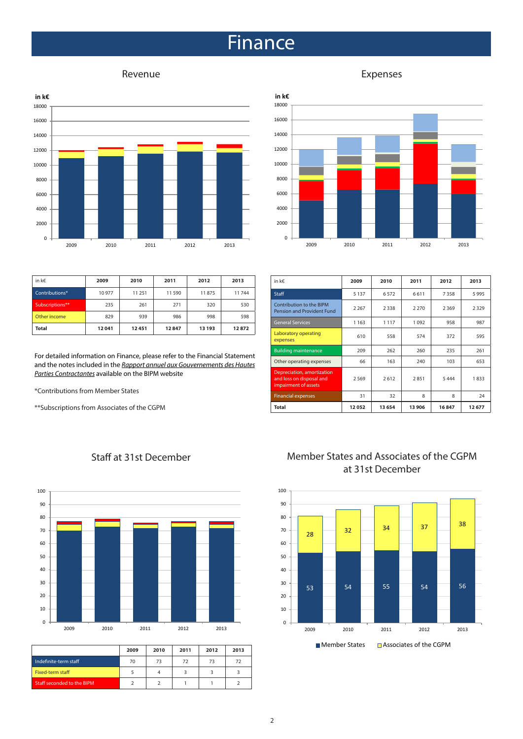### Finance





| in k€           | 2009  | 2010   | 2011  | 2012   | 2013  |
|-----------------|-------|--------|-------|--------|-------|
| Contributions*  | 10977 | 11 251 | 11590 | 11875  | 11744 |
| Subscriptions** | 235   | 261    | 271   | 320    | 530   |
| Other income    | 829   | 939    | 986   | 998    | 598   |
| <b>Total</b>    | 12041 | 12451  | 12847 | 13 193 | 12872 |

For detailed information on Finance, please refer to the Financial Statement and the notes included in the *[Rapport annuel aux Gouvernements des Hautes](http://www.bipm.org/utils/common/pdf/rapport-annuel/Rapport-annuel-BIPM-2013.pdf) [Parties Contractantes](http://www.bipm.org/utils/common/pdf/rapport-annuel/Rapport-annuel-BIPM-2013.pdf)* available on the BIPM website

\*Contributions from Member States

\*\*Subscriptions from Associates of the CGPM

| in k€                                                                          | 2009    | 2010    | 2011    | 2012    | 2013    |
|--------------------------------------------------------------------------------|---------|---------|---------|---------|---------|
| <b>Staff</b>                                                                   | 5 1 3 7 | 6572    | 6611    | 7358    | 5995    |
| Contribution to the BIPM<br><b>Pension and Provident Fund</b>                  | 2 2 6 7 | 2 3 3 8 | 2 2 7 0 | 2 3 6 9 | 2 3 2 9 |
| <b>General Services</b>                                                        | 1 1 6 3 | 1 1 1 7 | 1092    | 958     | 987     |
| Laboratory operating<br>expenses                                               | 610     | 558     | 574     | 372     | 595     |
| <b>Building maintenance</b>                                                    | 209     | 262     | 260     | 235     | 261     |
| Other operating expenses                                                       | 66      | 163     | 240     | 103     | 653     |
| Depreciation, amortization<br>and loss on disposal and<br>impairment of assets | 2569    | 2612    | 2851    | 5444    | 1833    |
| <b>Financial expenses</b>                                                      | 31      | 32      | 8       | 8       | 24      |
| Total                                                                          | 12052   | 13 654  | 13 906  | 16847   | 12677   |

#### Staff at 31st December



|                                   | 2009 | 2010 | 2011 | 2012 | 2013 |
|-----------------------------------|------|------|------|------|------|
| Indefinite-term staff             | 70   | 73   | 72   | 73   | 72   |
| Fixed-term staff                  |      |      |      |      |      |
| <b>Staff seconded to the BIPM</b> |      |      |      |      |      |

#### Member States and Associates of the CGPM at 31st December



#### Revenue **Expenses**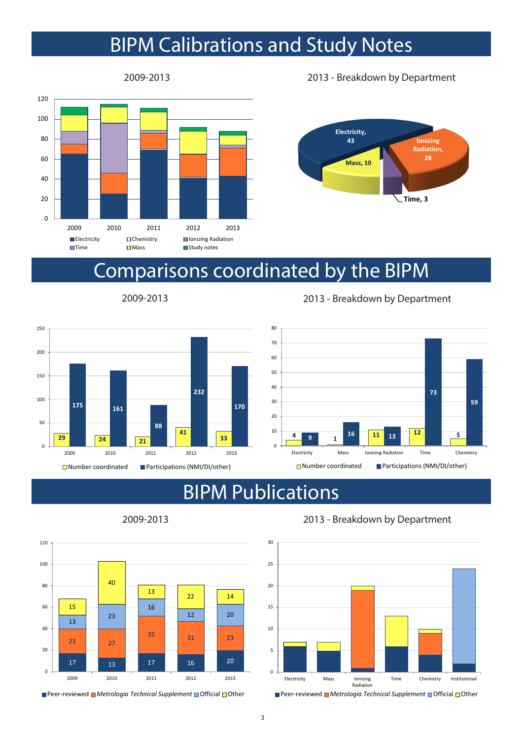## BIPM Calibrations and Study Notes



2009-2013 2013 - Breakdown by Department



### Comparisons coordinated by the BIPM



2009-2013 2013 - Breakdown by Department



### BIPM Publications



2009-2013 2013 - Breakdown by Department



<sup>■</sup> Peer-reviewed ■ Metrologia Technical Supplement ■ Official □ Other